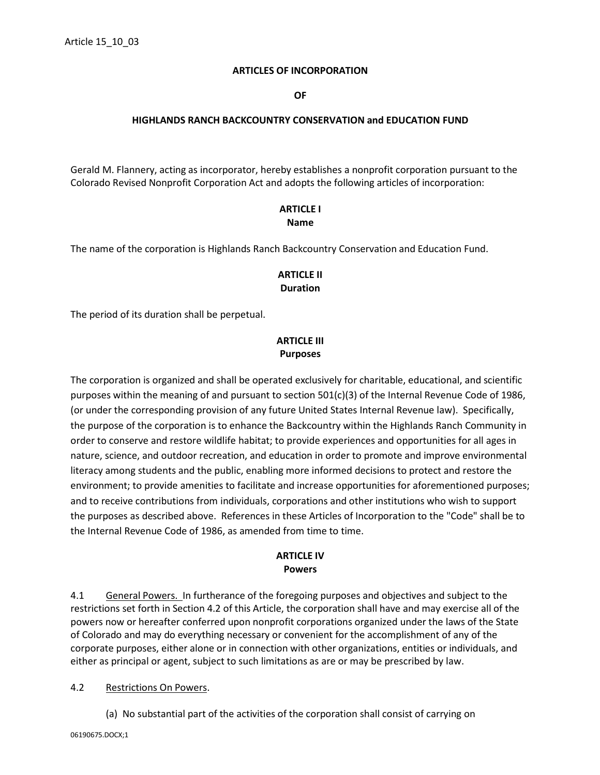#### **ARTICLES OF INCORPORATION**

**OF**

### **HIGHLANDS RANCH BACKCOUNTRY CONSERVATION and EDUCATION FUND**

Gerald M. Flannery, acting as incorporator, hereby establishes a nonprofit corporation pursuant to the Colorado Revised Nonprofit Corporation Act and adopts the following articles of incorporation:

## **ARTICLE I Name**

The name of the corporation is Highlands Ranch Backcountry Conservation and Education Fund.

# **ARTICLE II Duration**

The period of its duration shall be perpetual.

# **ARTICLE III Purposes**

The corporation is organized and shall be operated exclusively for charitable, educational, and scientific purposes within the meaning of and pursuant to section 501(c)(3) of the Internal Revenue Code of 1986, (or under the corresponding provision of any future United States Internal Revenue law). Specifically, the purpose of the corporation is to enhance the Backcountry within the Highlands Ranch Community in order to conserve and restore wildlife habitat; to provide experiences and opportunities for all ages in nature, science, and outdoor recreation, and education in order to promote and improve environmental literacy among students and the public, enabling more informed decisions to protect and restore the environment; to provide amenities to facilitate and increase opportunities for aforementioned purposes; and to receive contributions from individuals, corporations and other institutions who wish to support the purposes as described above. References in these Articles of Incorporation to the "Code" shall be to the Internal Revenue Code of 1986, as amended from time to time.

#### **ARTICLE IV Powers**

4.1 General Powers. In furtherance of the foregoing purposes and objectives and subject to the restrictions set forth in Section 4.2 of this Article, the corporation shall have and may exercise all of the powers now or hereafter conferred upon nonprofit corporations organized under the laws of the State of Colorado and may do everything necessary or convenient for the accomplishment of any of the corporate purposes, either alone or in connection with other organizations, entities or individuals, and either as principal or agent, subject to such limitations as are or may be prescribed by law.

### 4.2 Restrictions On Powers.

(a) No substantial part of the activities of the corporation shall consist of carrying on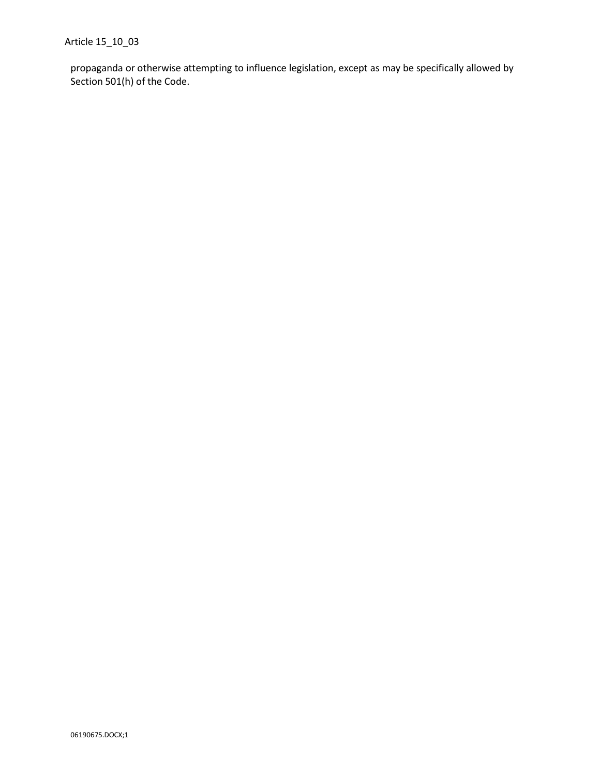propaganda or otherwise attempting to influence legislation, except as may be specifically allowed by Section 501(h) of the Code.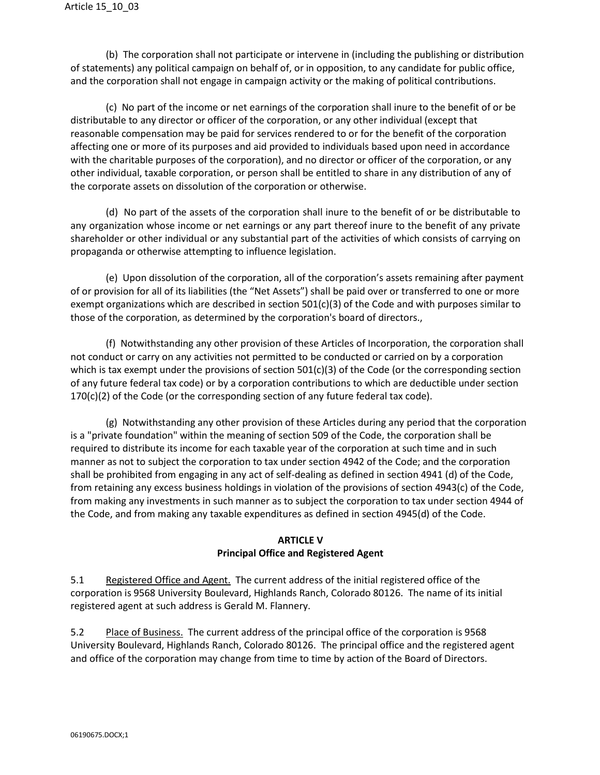(b) The corporation shall not participate or intervene in (including the publishing or distribution of statements) any political campaign on behalf of, or in opposition, to any candidate for public office, and the corporation shall not engage in campaign activity or the making of political contributions.

(c) No part of the income or net earnings of the corporation shall inure to the benefit of or be distributable to any director or officer of the corporation, or any other individual (except that reasonable compensation may be paid for services rendered to or for the benefit of the corporation affecting one or more of its purposes and aid provided to individuals based upon need in accordance with the charitable purposes of the corporation), and no director or officer of the corporation, or any other individual, taxable corporation, or person shall be entitled to share in any distribution of any of the corporate assets on dissolution of the corporation or otherwise.

(d) No part of the assets of the corporation shall inure to the benefit of or be distributable to any organization whose income or net earnings or any part thereof inure to the benefit of any private shareholder or other individual or any substantial part of the activities of which consists of carrying on propaganda or otherwise attempting to influence legislation.

(e) Upon dissolution of the corporation, all of the corporation's assets remaining after payment of or provision for all of its liabilities (the "Net Assets") shall be paid over or transferred to one or more exempt organizations which are described in section 501(c)(3) of the Code and with purposes similar to those of the corporation, as determined by the corporation's board of directors.,

(f) Notwithstanding any other provision of these Articles of Incorporation, the corporation shall not conduct or carry on any activities not permitted to be conducted or carried on by a corporation which is tax exempt under the provisions of section  $501(c)(3)$  of the Code (or the corresponding section of any future federal tax code) or by a corporation contributions to which are deductible under section  $170(c)(2)$  of the Code (or the corresponding section of any future federal tax code).

(g) Notwithstanding any other provision of these Articles during any period that the corporation is a "private foundation" within the meaning of section 509 of the Code, the corporation shall be required to distribute its income for each taxable year of the corporation at such time and in such manner as not to subject the corporation to tax under section 4942 of the Code; and the corporation shall be prohibited from engaging in any act of self-dealing as defined in section 4941 (d) of the Code, from retaining any excess business holdings in violation of the provisions of section 4943(c) of the Code, from making any investments in such manner as to subject the corporation to tax under section 4944 of the Code, and from making any taxable expenditures as defined in section 4945(d) of the Code.

### **ARTICLE V Principal Office and Registered Agent**

5.1 Registered Office and Agent. The current address of the initial registered office of the corporation is 9568 University Boulevard, Highlands Ranch, Colorado 80126. The name of its initial registered agent at such address is Gerald M. Flannery.

5.2 Place of Business. The current address of the principal office of the corporation is 9568 University Boulevard, Highlands Ranch, Colorado 80126. The principal office and the registered agent and office of the corporation may change from time to time by action of the Board of Directors.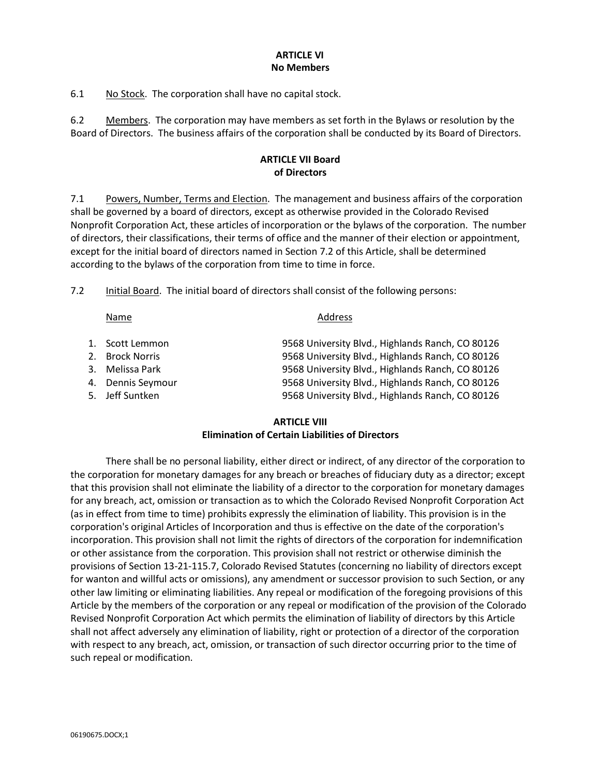#### **ARTICLE VI No Members**

6.1 No Stock. The corporation shall have no capital stock.

6.2 Members. The corporation may have members as set forth in the Bylaws or resolution by the Board of Directors. The business affairs of the corporation shall be conducted by its Board of Directors.

# **ARTICLE VII Board of Directors**

7.1 Powers, Number, Terms and Election. The management and business affairs of the corporation shall be governed by a board of directors, except as otherwise provided in the Colorado Revised Nonprofit Corporation Act, these articles of incorporation or the bylaws of the corporation. The number of directors, their classifications, their terms of office and the manner of their election or appointment, except for the initial board of directors named in Section 7.2 of this Article, shall be determined according to the bylaws of the corporation from time to time in force.

7.2 Initial Board. The initial board of directors shall consist of the following persons:

#### **ARTICLE VIII Elimination of Certain Liabilities of Directors**

There shall be no personal liability, either direct or indirect, of any director of the corporation to the corporation for monetary damages for any breach or breaches of fiduciary duty as a director; except that this provision shall not eliminate the liability of a director to the corporation for monetary damages for any breach, act, omission or transaction as to which the Colorado Revised Nonprofit Corporation Act (as in effect from time to time) prohibits expressly the elimination of liability. This provision is in the corporation's original Articles of Incorporation and thus is effective on the date of the corporation's incorporation. This provision shall not limit the rights of directors of the corporation for indemnification or other assistance from the corporation. This provision shall not restrict or otherwise diminish the provisions of Section 13-21-115.7, Colorado Revised Statutes (concerning no liability of directors except for wanton and willful acts or omissions), any amendment or successor provision to such Section, or any other law limiting or eliminating liabilities. Any repeal or modification of the foregoing provisions of this Article by the members of the corporation or any repeal or modification of the provision of the Colorado Revised Nonprofit Corporation Act which permits the elimination of liability of directors by this Article shall not affect adversely any elimination of liability, right or protection of a director of the corporation with respect to any breach, act, omission, or transaction of such director occurring prior to the time of such repeal or modification.